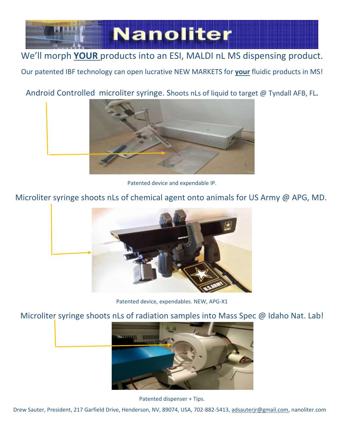

## We'll morph **YOUR** products into an ESI, MALDI nL MS dispensing product.

Our patented IBF technology can open lucrative NEW MARKETS for **your** fluidic products in MS!

### Android Controlled microliter syringe. Shoots nLs of liquid to target @ Tyndall AFB, FL**.**



Patented device and expendable IP.

Microliter syringe shoots nLs of chemical agent onto animals for US Army @ APG, MD.



Patented device, expendables. NEW, APG-X1

#### Microliter syringe shoots nLs of radiation samples into Mass Spec @ Idaho Nat. Lab!



Patented dispenser + Tips.

Drew Sauter, President, 217 Garfield Drive, Henderson, NV, 89074, USA, 702-882-5413, [adsauterjr@gmail.com,](mailto:adsauterjr@gmail.com) nanoliter.com